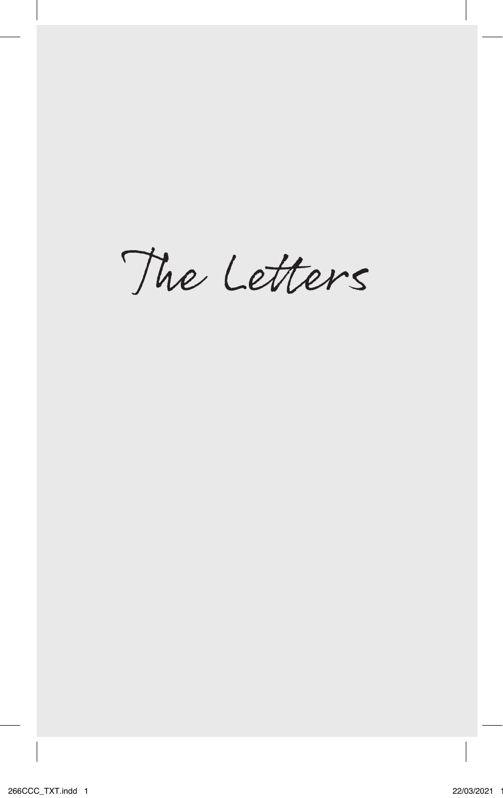The Letters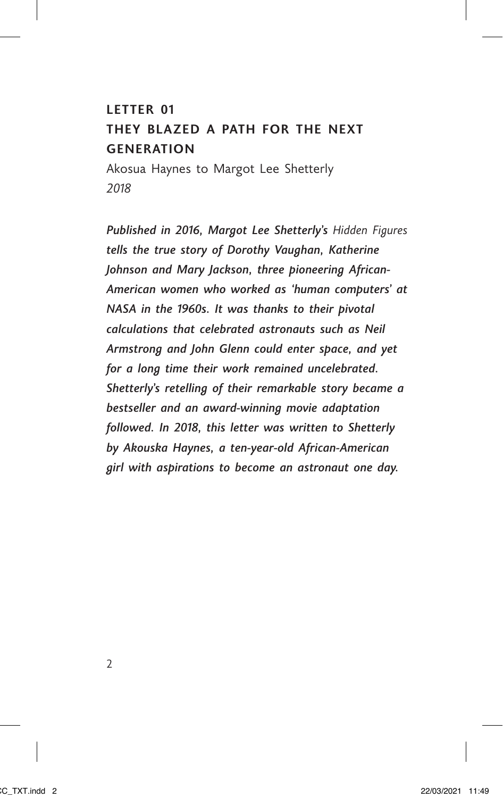## **LETTER 01**

# **THEY BLAZED A PATH FOR THE NEXT GENERATION**

Akosua Haynes to Margot Lee Shetterly *2018*

*Published in 2016, Margot Lee Shetterly's Hidden Figures tells the true story of Dorothy Vaughan, Katherine Johnson and Mary Jackson, three pioneering African-American women who worked as 'human computers' at NASA in the 1960s. It was thanks to their pivotal calculations that celebrated astronauts such as Neil Armstrong and John Glenn could enter space, and yet for a long time their work remained uncelebrated. Shetterly's retelling of their remarkable story became a bestseller and an award-winning movie adaptation followed. In 2018, this letter was written to Shetterly by Akouska Haynes, a ten-year-old African-American girl with aspirations to become an astronaut one day.*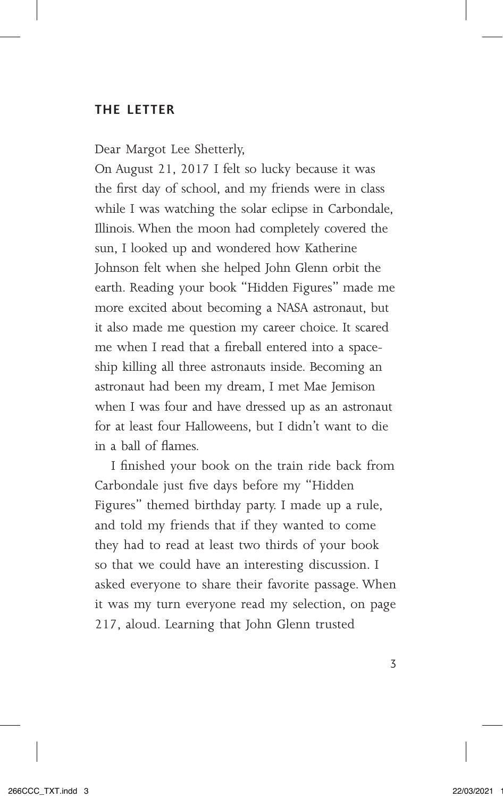## **THE LETTER**

Dear Margot Lee Shetterly,

On August 21, 2017 I felt so lucky because it was the first day of school, and my friends were in class while I was watching the solar eclipse in Carbondale, Illinois. When the moon had completely covered the sun, I looked up and wondered how Katherine Johnson felt when she helped John Glenn orbit the earth. Reading your book "Hidden Figures" made me more excited about becoming a NASA astronaut, but it also made me question my career choice. It scared me when I read that a fireball entered into a spaceship killing all three astronauts inside. Becoming an astronaut had been my dream, I met Mae Jemison when I was four and have dressed up as an astronaut for at least four Halloweens, but I didn't want to die in a ball of flames.

I finished your book on the train ride back from Carbondale just five days before my "Hidden Figures" themed birthday party. I made up a rule, and told my friends that if they wanted to come they had to read at least two thirds of your book so that we could have an interesting discussion. I asked everyone to share their favorite passage. When it was my turn everyone read my selection, on page 217, aloud. Learning that John Glenn trusted

3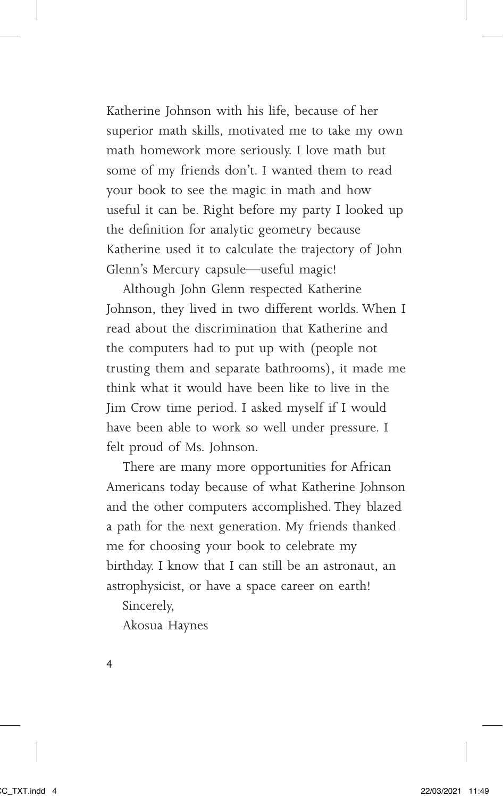Katherine Johnson with his life, because of her superior math skills, motivated me to take my own math homework more seriously. I love math but some of my friends don't. I wanted them to read your book to see the magic in math and how useful it can be. Right before my party I looked up the definition for analytic geometry because Katherine used it to calculate the trajectory of John Glenn's Mercury capsule—useful magic!

Although John Glenn respected Katherine Johnson, they lived in two different worlds. When I read about the discrimination that Katherine and the computers had to put up with (people not trusting them and separate bathrooms), it made me think what it would have been like to live in the Jim Crow time period. I asked myself if I would have been able to work so well under pressure. I felt proud of Ms. Johnson.

There are many more opportunities for African Americans today because of what Katherine Johnson and the other computers accomplished. They blazed a path for the next generation. My friends thanked me for choosing your book to celebrate my birthday. I know that I can still be an astronaut, an astrophysicist, or have a space career on earth!

Sincerely,

Akosua Haynes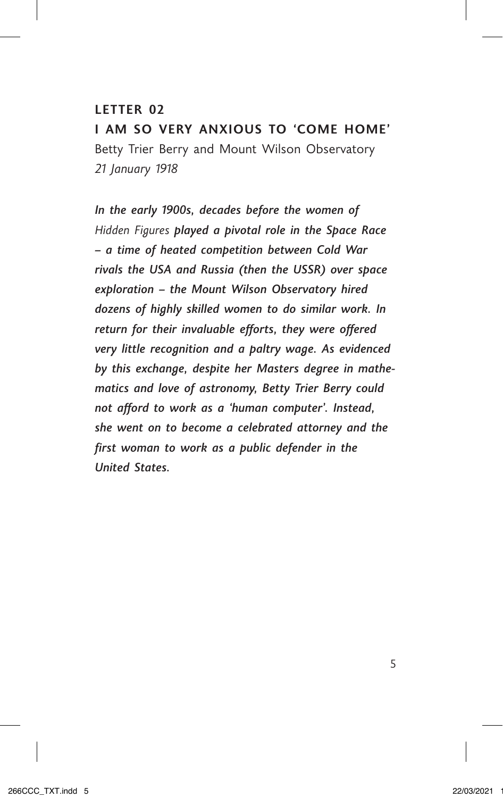#### **LETTER 02**

**I AM SO VERY ANXIOUS TO 'COME HOME'** Betty Trier Berry and Mount Wilson Observatory *21 January 1918*

*In the early 1900s, decades before the women of Hidden Figures played a pivotal role in the Space Race – a time of heated competition between Cold War rivals the USA and Russia (then the USSR) over space exploration – the Mount Wilson Observatory hired dozens of highly skilled women to do similar work. In return for their invaluable efforts, they were offered very little recognition and a paltry wage. As evidenced by this exchange, despite her Masters degree in mathematics and love of astronomy, Betty Trier Berry could not afford to work as a 'human computer'. Instead, she went on to become a celebrated attorney and the first woman to work as a public defender in the United States.*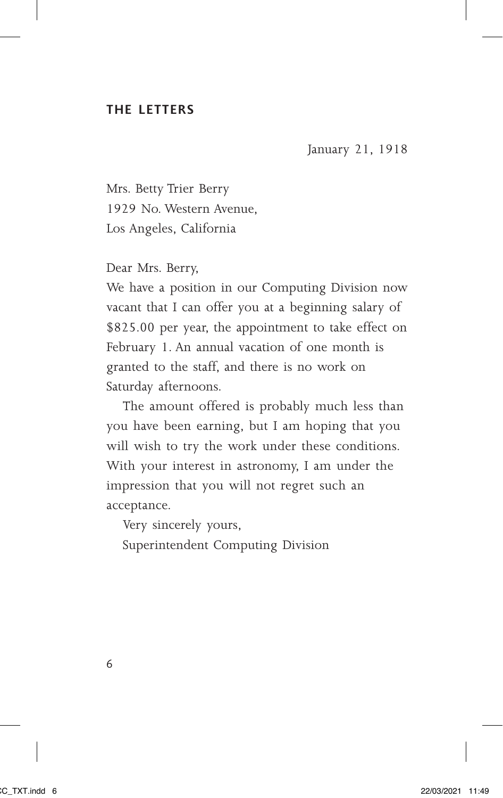#### **THE LETTERS**

January 21, 1918

Mrs. Betty Trier Berry 1929 No. Western Avenue, Los Angeles, California

Dear Mrs. Berry,

We have a position in our Computing Division now vacant that I can offer you at a beginning salary of \$825.00 per year, the appointment to take effect on February 1. An annual vacation of one month is granted to the staff, and there is no work on Saturday afternoons.

The amount offered is probably much less than you have been earning, but I am hoping that you will wish to try the work under these conditions. With your interest in astronomy, I am under the impression that you will not regret such an acceptance.

Very sincerely yours,

Superintendent Computing Division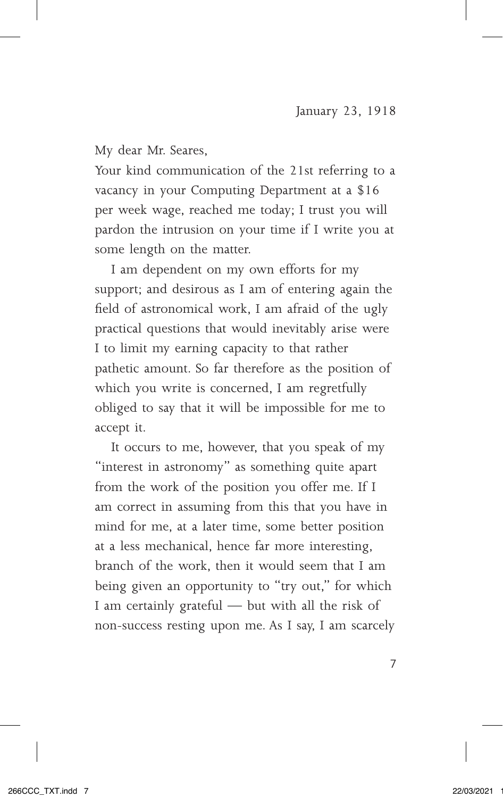My dear Mr. Seares,

Your kind communication of the 21st referring to a vacancy in your Computing Department at a \$16 per week wage, reached me today; I trust you will pardon the intrusion on your time if I write you at some length on the matter.

I am dependent on my own efforts for my support; and desirous as I am of entering again the field of astronomical work, I am afraid of the ugly practical questions that would inevitably arise were I to limit my earning capacity to that rather pathetic amount. So far therefore as the position of which you write is concerned, I am regretfully obliged to say that it will be impossible for me to accept it.

It occurs to me, however, that you speak of my "interest in astronomy" as something quite apart from the work of the position you offer me. If I am correct in assuming from this that you have in mind for me, at a later time, some better position at a less mechanical, hence far more interesting, branch of the work, then it would seem that I am being given an opportunity to "try out," for which I am certainly grateful — but with all the risk of non-success resting upon me. As I say, I am scarcely